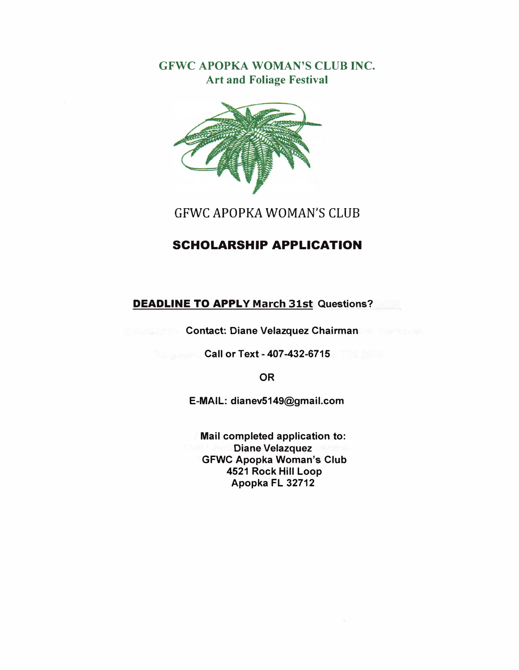**GFWC APOPKA WOMAN'S CLUB INC. Art and Foliage Festival** 



GFWC APOPKA WOMAN'S CLUB

## **SCHOLARSHIP APPLICATION**

### **DEADLINE TO APPLY March 31st Questions?**

**Contact: Diane Velazquez Chairman** 

**Call or Text - 407-432-6715** 

**OR** 

**E-MAIL: dianev5149@gmail.com**

**Mail completed application to: Diane Velazquez GFWC Apopka Woman's Club 4521 Rock Hill Loop Apopka FL 32712**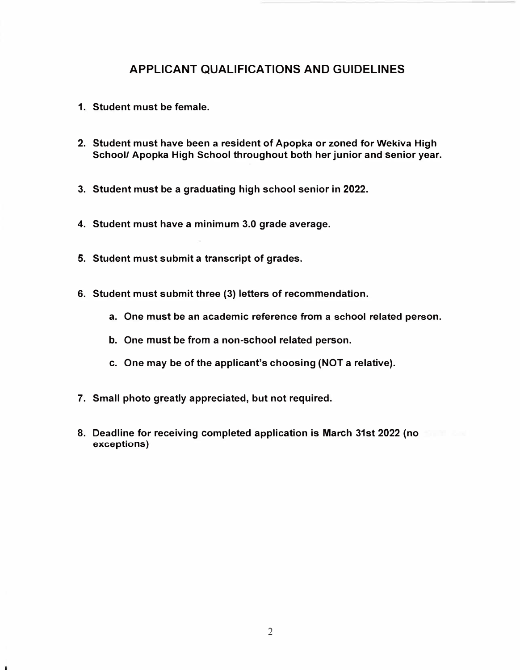#### **APPLICANT QUALIFICATIONS AND GUIDELINES**

- **1. Student must be female.**
- **2. Student must have been a resident of Apopka or zoned for Wekiva High School/ Apopka High School throughout both her junior and senior year.**
- **3. Student must be a graduating high school senior in 2022.**
- **4. Student must have a minimum 3.0 grade average.**
- **5. Student must submit a transcript of grades.**
- **6. Student must submit three (3) letters of recommendation.**
	- **a. One must be an academic reference from a school related person.**
	- **b. One must be from a non-school related person.**
	- **c. One may be of the applicant's choosing (NOT a relative).**
- **7. Small photo greatly appreciated, but not required.**
- **8. Deadline for receiving completed application is March 31st 2022 (no exceptions)**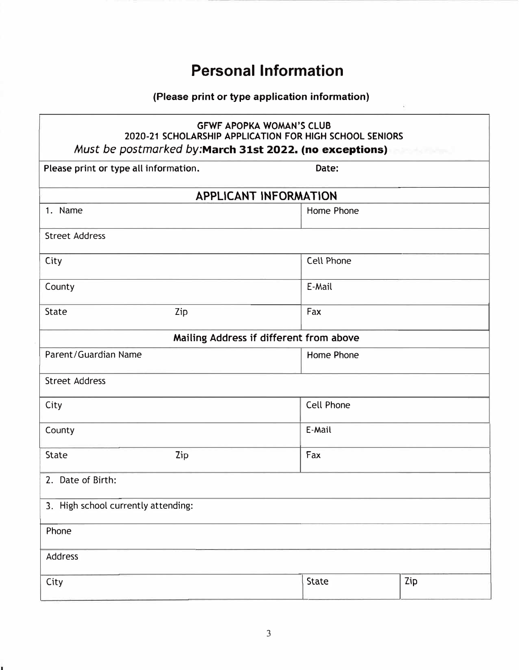# **Personal Information**

## **(Please print or type application information)**

| <b>GFWF APOPKA WOMAN'S CLUB</b><br>2020-21 SCHOLARSHIP APPLICATION FOR HIGH SCHOOL SENIORS<br>Must be postmarked by: March 31st 2022. (no exceptions) |            |     |  |  |
|-------------------------------------------------------------------------------------------------------------------------------------------------------|------------|-----|--|--|
| Please print or type all information.                                                                                                                 | Date:      |     |  |  |
| APPLICANT INFORMATION                                                                                                                                 |            |     |  |  |
| 1. Name                                                                                                                                               | Home Phone |     |  |  |
| <b>Street Address</b>                                                                                                                                 |            |     |  |  |
| City                                                                                                                                                  | Cell Phone |     |  |  |
| County                                                                                                                                                | E-Mail     |     |  |  |
| State<br>Zip                                                                                                                                          | Fax        |     |  |  |
| Mailing Address if different from above                                                                                                               |            |     |  |  |
| Parent/Guardian Name                                                                                                                                  | Home Phone |     |  |  |
| <b>Street Address</b>                                                                                                                                 |            |     |  |  |
| City                                                                                                                                                  | Cell Phone |     |  |  |
| County                                                                                                                                                | E-Mail     |     |  |  |
| Zip<br><b>State</b>                                                                                                                                   | Fax        |     |  |  |
| 2. Date of Birth:                                                                                                                                     |            |     |  |  |
| 3. High school currently attending:                                                                                                                   |            |     |  |  |
| Phone                                                                                                                                                 |            |     |  |  |
| Address                                                                                                                                               |            |     |  |  |
| City                                                                                                                                                  | State      | Zip |  |  |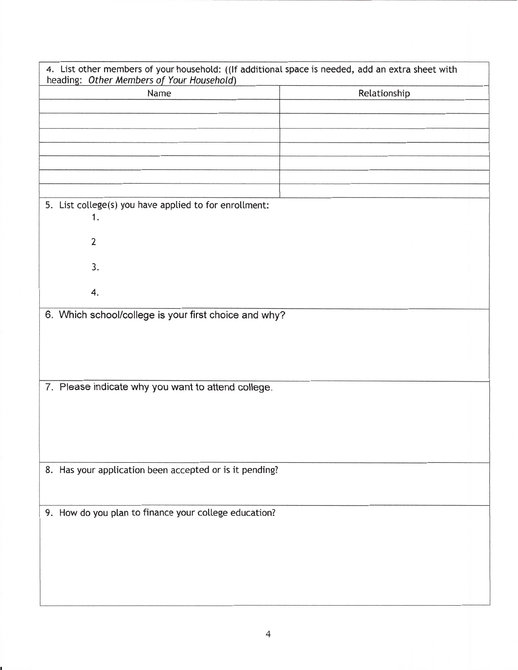| 4. List other members of your household: ((If additional space is needed, add an extra sheet with<br>heading: Other Members of Your Household) |              |  |
|------------------------------------------------------------------------------------------------------------------------------------------------|--------------|--|
| Name                                                                                                                                           | Relationship |  |
|                                                                                                                                                |              |  |
|                                                                                                                                                |              |  |
|                                                                                                                                                |              |  |
|                                                                                                                                                |              |  |
|                                                                                                                                                |              |  |
|                                                                                                                                                |              |  |
|                                                                                                                                                |              |  |
|                                                                                                                                                |              |  |
| 5. List college(s) you have applied to for enrollment:                                                                                         |              |  |
| 1.                                                                                                                                             |              |  |
|                                                                                                                                                |              |  |
| $\overline{2}$                                                                                                                                 |              |  |
|                                                                                                                                                |              |  |
| 3.                                                                                                                                             |              |  |
|                                                                                                                                                |              |  |
|                                                                                                                                                |              |  |
| 4.                                                                                                                                             |              |  |
| 6. Which school/college is your first choice and why?                                                                                          |              |  |
|                                                                                                                                                |              |  |
|                                                                                                                                                |              |  |
|                                                                                                                                                |              |  |
|                                                                                                                                                |              |  |
|                                                                                                                                                |              |  |
| 7. Please indicate why you want to attend college.                                                                                             |              |  |
|                                                                                                                                                |              |  |
|                                                                                                                                                |              |  |
|                                                                                                                                                |              |  |
|                                                                                                                                                |              |  |
|                                                                                                                                                |              |  |
|                                                                                                                                                |              |  |
| 8. Has your application been accepted or is it pending?                                                                                        |              |  |
|                                                                                                                                                |              |  |
|                                                                                                                                                |              |  |
|                                                                                                                                                |              |  |
| 9. How do you plan to finance your college education?                                                                                          |              |  |
|                                                                                                                                                |              |  |
|                                                                                                                                                |              |  |
|                                                                                                                                                |              |  |
|                                                                                                                                                |              |  |
|                                                                                                                                                |              |  |
|                                                                                                                                                |              |  |
|                                                                                                                                                |              |  |
|                                                                                                                                                |              |  |